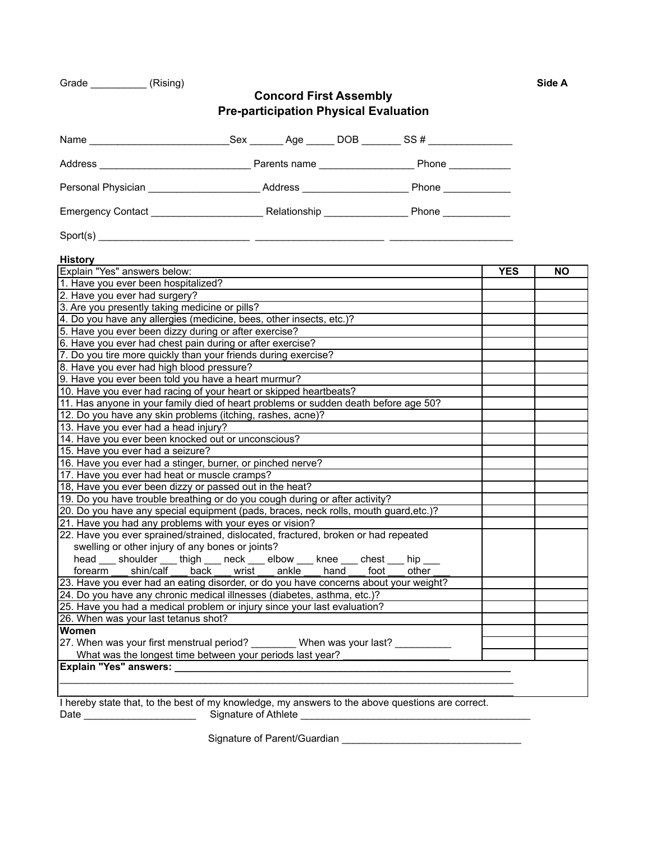| Grade | (Rising) |  | Side A |
|-------|----------|--|--------|
|-------|----------|--|--------|

## **Concord First Assembly Pre-participation Physical Evaluation**

| <b>History</b>                                                                                   |                                                       |  |  |            |           |  |  |  |  |  |  |  |
|--------------------------------------------------------------------------------------------------|-------------------------------------------------------|--|--|------------|-----------|--|--|--|--|--|--|--|
| Explain "Yes" answers below:                                                                     |                                                       |  |  | <b>YES</b> | <b>NO</b> |  |  |  |  |  |  |  |
| 1. Have you ever been hospitalized?                                                              |                                                       |  |  |            |           |  |  |  |  |  |  |  |
| 2. Have you ever had surgery?                                                                    |                                                       |  |  |            |           |  |  |  |  |  |  |  |
| 3. Are you presently taking medicine or pills?                                                   |                                                       |  |  |            |           |  |  |  |  |  |  |  |
| 4. Do you have any allergies (medicine, bees, other insects, etc.)?                              |                                                       |  |  |            |           |  |  |  |  |  |  |  |
| 5. Have you ever been dizzy during or after exercise?                                            |                                                       |  |  |            |           |  |  |  |  |  |  |  |
| 6. Have you ever had chest pain during or after exercise?                                        |                                                       |  |  |            |           |  |  |  |  |  |  |  |
| 7. Do you tire more quickly than your friends during exercise?                                   |                                                       |  |  |            |           |  |  |  |  |  |  |  |
| 8. Have you ever had high blood pressure?                                                        |                                                       |  |  |            |           |  |  |  |  |  |  |  |
| 9. Have you ever been told you have a heart murmur?                                              |                                                       |  |  |            |           |  |  |  |  |  |  |  |
| 10. Have you ever had racing of your heart or skipped heartbeats?                                |                                                       |  |  |            |           |  |  |  |  |  |  |  |
| 11. Has anyone in your family died of heart problems or sudden death before age 50?              |                                                       |  |  |            |           |  |  |  |  |  |  |  |
| 12. Do you have any skin problems (itching, rashes, acne)?                                       |                                                       |  |  |            |           |  |  |  |  |  |  |  |
| 13. Have you ever had a head injury?                                                             |                                                       |  |  |            |           |  |  |  |  |  |  |  |
| 14. Have you ever been knocked out or unconscious?                                               |                                                       |  |  |            |           |  |  |  |  |  |  |  |
| 15. Have you ever had a seizure?                                                                 |                                                       |  |  |            |           |  |  |  |  |  |  |  |
| 16. Have you ever had a stinger, burner, or pinched nerve?                                       |                                                       |  |  |            |           |  |  |  |  |  |  |  |
| 17. Have you ever had heat or muscle cramps?                                                     |                                                       |  |  |            |           |  |  |  |  |  |  |  |
| 18, Have you ever been dizzy or passed out in the heat?                                          |                                                       |  |  |            |           |  |  |  |  |  |  |  |
| 19. Do you have trouble breathing or do you cough during or after activity?                      |                                                       |  |  |            |           |  |  |  |  |  |  |  |
| 20. Do you have any special equipment (pads, braces, neck rolls, mouth guard, etc.)?             |                                                       |  |  |            |           |  |  |  |  |  |  |  |
| 21. Have you had any problems with your eyes or vision?                                          |                                                       |  |  |            |           |  |  |  |  |  |  |  |
| 22. Have you ever sprained/strained, dislocated, fractured, broken or had repeated               |                                                       |  |  |            |           |  |  |  |  |  |  |  |
| swelling or other injury of any bones or joints?                                                 |                                                       |  |  |            |           |  |  |  |  |  |  |  |
| head ___ shoulder ___ thigh ___ neck ___ elbow ___ knee ___ chest ___ hip ___                    |                                                       |  |  |            |           |  |  |  |  |  |  |  |
|                                                                                                  | forearm shin/calf back wrist ankle hand foot<br>other |  |  |            |           |  |  |  |  |  |  |  |
| 23. Have you ever had an eating disorder, or do you have concerns about your weight?             |                                                       |  |  |            |           |  |  |  |  |  |  |  |
| 24. Do you have any chronic medical illnesses (diabetes, asthma, etc.)?                          |                                                       |  |  |            |           |  |  |  |  |  |  |  |
| 25. Have you had a medical problem or injury since your last evaluation?                         |                                                       |  |  |            |           |  |  |  |  |  |  |  |
| 26. When was your last tetanus shot?                                                             |                                                       |  |  |            |           |  |  |  |  |  |  |  |
| Women                                                                                            |                                                       |  |  |            |           |  |  |  |  |  |  |  |
| 27. When was your first menstrual period? _________ When was your last? ________                 |                                                       |  |  |            |           |  |  |  |  |  |  |  |
| What was the longest time between your periods last year?                                        |                                                       |  |  |            |           |  |  |  |  |  |  |  |
|                                                                                                  |                                                       |  |  |            |           |  |  |  |  |  |  |  |
|                                                                                                  |                                                       |  |  |            |           |  |  |  |  |  |  |  |
|                                                                                                  |                                                       |  |  |            |           |  |  |  |  |  |  |  |
| I hereby state that, to the best of my knowledge, my answers to the above questions are correct. |                                                       |  |  |            |           |  |  |  |  |  |  |  |
| Date                                                                                             | Signature of Athlete                                  |  |  |            |           |  |  |  |  |  |  |  |

Signature of Parent/Guardian \_\_\_\_\_\_\_\_\_\_\_\_\_\_\_\_\_\_\_\_\_\_\_\_\_\_\_\_\_\_\_\_